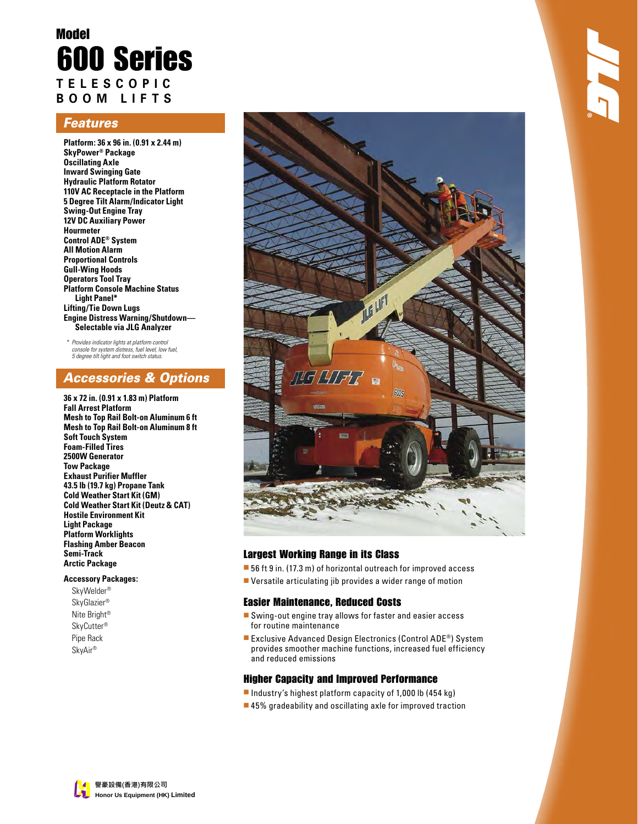# Model 600 Series **TELESCOPIC BOOM LIFTS**

### Features

**Platform: 36 x 96 in. (0.91 x 2.44 m) SkyPower® Package Oscillating Axle Inward Swinging Gate Hydraulic Platform Rotator 110V AC Receptacle in the Platform 5 Degree Tilt Alarm/Indicator Light Swing-Out Engine Tray 12V DC Auxiliary Power Hourmeter Control ADE® System All Motion Alarm Proportional Controls Gull-Wing Hoods Operators Tool Tray Platform Console Machine Status Light Panel\* Lifting/Tie Down Lugs Engine Distress Warning/Shutdown— Selectable via JLG Analyzer**

 \* Provides indicator lights at platform control console for system distress, fuel level, low fuel, 5 degree tilt light and foot switch status.

## Accessories & Options

**36 x 72 in. (0.91 x 1.83 m) Platform Fall Arrest Platform Mesh to Top Rail Bolt-on Aluminum 6 ft Mesh to Top Rail Bolt-on Aluminum 8 ft Soft Touch System Foam-Filled Tires 2500W Generator Tow Package Exhaust Purifier Muffler 43.5 lb (19.7 kg) Propane Tank Cold Weather Start Kit (GM) Cold Weather Start Kit (Deutz & CAT) Hostile Environment Kit Light Package Platform Worklights Flashing Amber Beacon Semi-Track Arctic Package**

#### **Accessory Packages:**

SkyWelder® SkyGlazier® Nite Bright® SkyCutter® Pipe Rack SkyAir®



### Largest Working Range in its Class

- 56 ft 9 in. (17.3 m) of horizontal outreach for improved access
- Versatile articulating jib provides a wider range of motion

#### Easier Maintenance, Reduced Costs

- Swing-out engine tray allows for faster and easier access for routine maintenance
- Exclusive Advanced Design Electronics (Control ADE®) System provides smoother machine functions, increased fuel efficiency and reduced emissions

#### Higher Capacity and Improved Performance

- Industry's highest platform capacity of 1,000 lb (454 kg)
- 45% gradeability and oscillating axle for improved traction